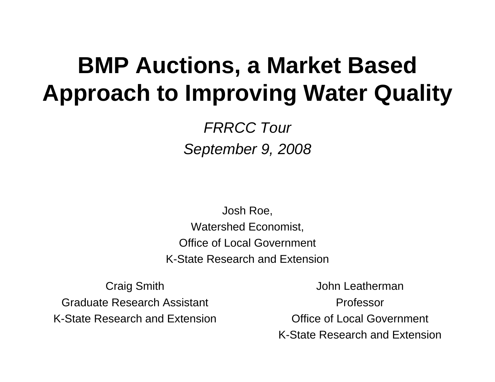#### **BMP Auctions, a Market Based Approach to Improving Water Quality**

*FRRCC Tour September 9, 2008*

Josh Roe, Watershed Economist, Office of Local Government K-State Research and Extension

Craig Smith Graduate Research Assistant K-State Research and Extension

John LeathermanProfessorOffice of Local Government K-State Research and Extension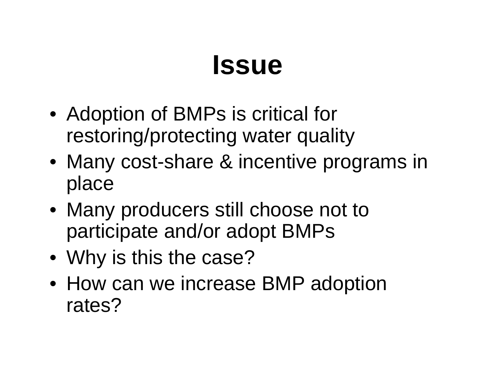### **Issue**

- Adoption of BMPs is critical for restoring/protecting water quality
- Many cost-share & incentive programs in place
- Many producers still choose not to participate and/or adopt BMPs
- Why is this the case?
- How can we increase BMP adoption rates?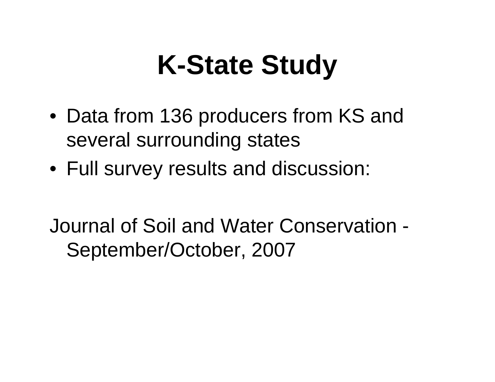## **K-State Study**

- Data from 136 producers from KS and several surrounding states
- Full survey results and discussion:

Journal of Soil and Water Conservation - September/October, 2007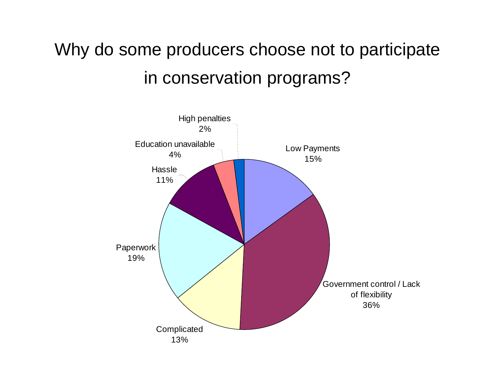#### Why do some producers choose not to participate in conservation programs?

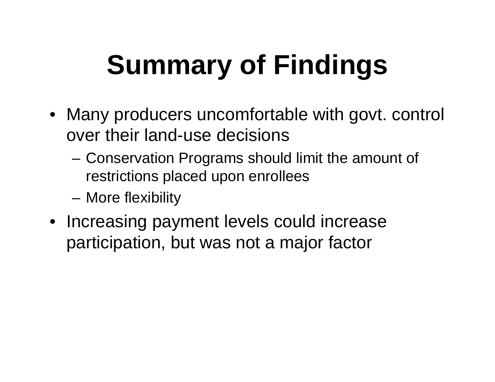# **Summary of Findings**

- Many producers uncomfortable with govt. control over their land-use decisions
	- – Conservation Programs should limit the amount of restrictions placed upon enrollees
	- and the state of the More flexibility
- Increasing payment levels could increase participation, but was not a major factor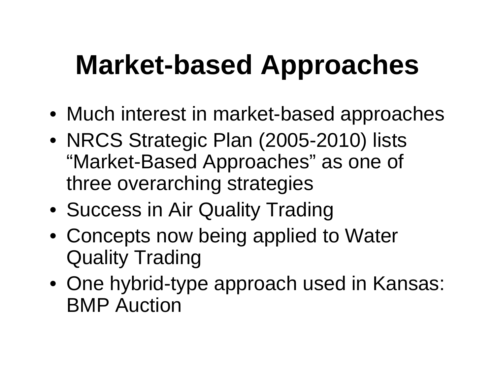## **Market-based Approaches**

- Much interest in market-based approaches
- NRCS Strategic Plan (2005-2010) lists "Market-Based Approaches" as one of three overarching strategies
- Success in Air Quality Trading
- Concepts now being applied to Water Quality Trading
- One hybrid-type approach used in Kansas: BMP Auction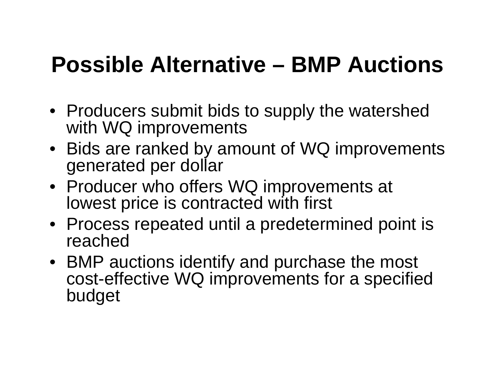#### **Possible Alternative – BMP Auctions**

- Producers submit bids to supply the watershed with WQ improvements
- Bids are ranked by amount of WQ improvements generated per dollar
- Producer who offers WQ improvements at lowest price is contracted with first
- Process repeated until a predetermined point is reached
- BMP auctions identify and purchase the most cost-effective WQ improvements for a specified budget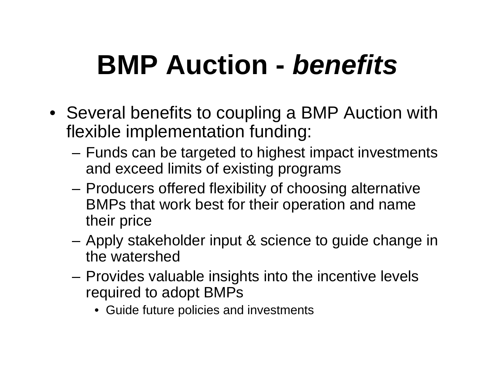## **BMP Auction -** *benefits*

- Several benefits to coupling a BMP Auction with flexible implementation funding:
	- and the state of the Funds can be targeted to highest impact investments and exceed limits of existing programs
	- – Producers offered flexibility of choosing alternative BMPs that work best for their operation and name their price
	- **Links of the Common**  Apply stakeholder input & science to guide change in the watershed
	- and the state of the Provides valuable insights into the incentive levels required to adopt BMPs
		- Guide future policies and investments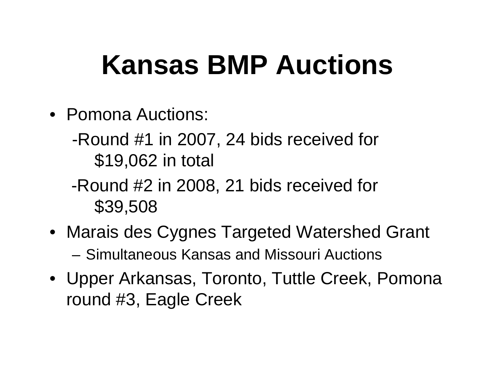## **Kansas BMP Auctions**

- Pomona Auctions:
	- -Round #1 in 2007, 24 bids received for \$19,062 in total
	- -Round #2 in 2008, 21 bids received for \$39,508
- Marais des Cygnes Targeted Watershed Grant – Simultaneous Kansas and Missouri Auctions
- Upper Arkansas, Toronto, Tuttle Creek, Pomona round #3, Eagle Creek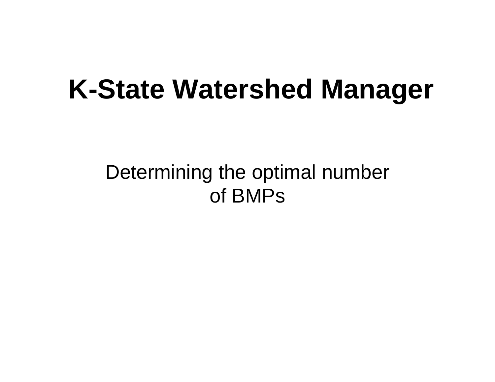## **K-State Watershed Manager**

#### Determining the optimal number of BMPs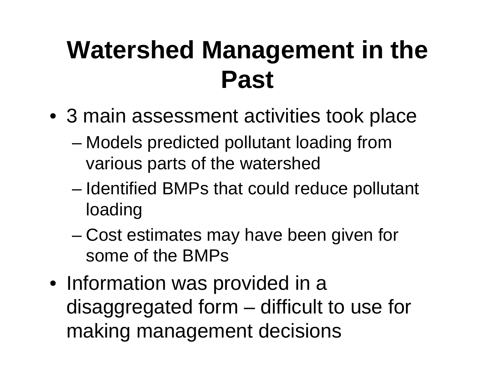### **Watershed Management in the Past**

- 3 main assessment activities took place
	- – Models predicted pollutant loading from various parts of the watershed
	- and the state of the state Identified BMPs that could reduce pollutant loading
	- and the state of Cost estimates may have been given for some of the BMPs
- Information was provided in a disaggregated form – difficult to use for making management decisions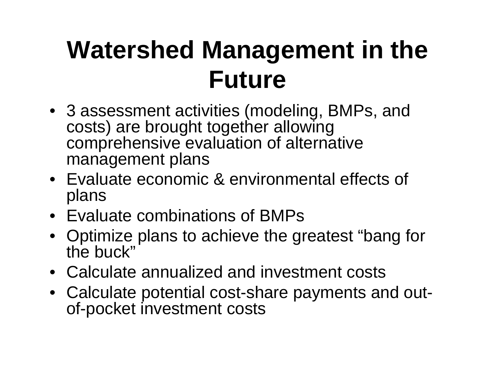## **Watershed Management in the Future**

- 3 assessment activities (modeling, BMPs, and costs) are brought together allowing comprehensive evaluation of alternative management plans
- Evaluate economic & environmental effects of plans
- Evaluate combinations of BMPs
- Optimize plans to achieve the greatest "bang for the buck"
- Calculate annualized and investment costs
- Calculate potential cost-share payments and outof-pocket investment costs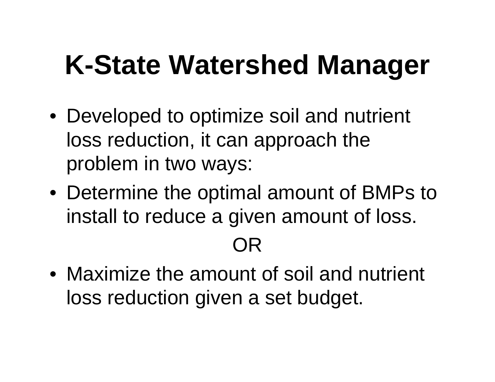## **K-State Watershed Manager**

- Developed to optimize soil and nutrient loss reduction, it can approach the problem in two ways:
- Determine the optimal amount of BMPs to install to reduce a given amount of loss.

OR

• Maximize the amount of soil and nutrient loss reduction given a set budget.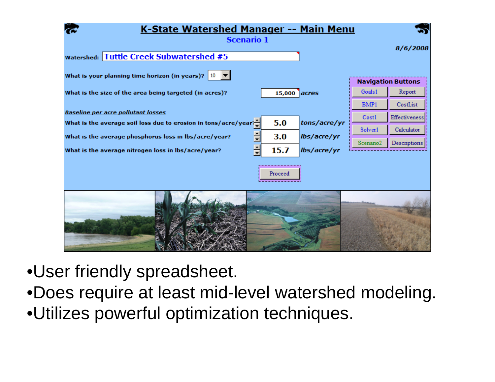

- •User friendly spreadsheet.
- •Does require at least mid-level watershed modeling.
- •Utilizes powerful optimization techniques.